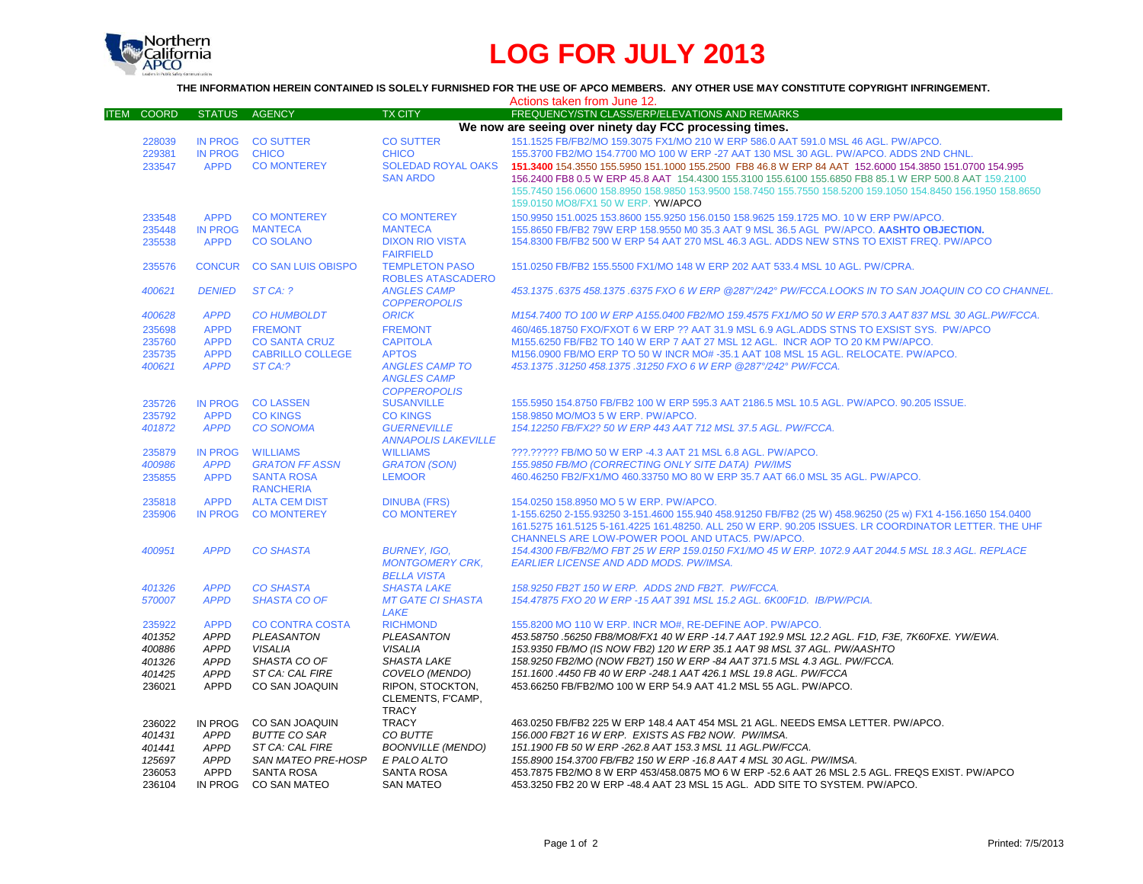

## **LOG FOR JULY 2013**

**THE INFORMATION HEREIN CONTAINED IS SOLELY FURNISHED FOR THE USE OF APCO MEMBERS. ANY OTHER USE MAY CONSTITUTE COPYRIGHT INFRINGEMENT.**

|                             |                                                         |                           |                            | Actions taken from June 12.                                                                                 |  |  |  |  |
|-----------------------------|---------------------------------------------------------|---------------------------|----------------------------|-------------------------------------------------------------------------------------------------------------|--|--|--|--|
| <b>COORD</b><br><b>ITEM</b> | <b>STATUS</b>                                           | <b>AGENCY</b>             | <b>TX CITY</b>             | FREQUENCY/STN CLASS/ERP/ELEVATIONS AND REMARKS                                                              |  |  |  |  |
|                             | We now are seeing over ninety day FCC processing times. |                           |                            |                                                                                                             |  |  |  |  |
| 228039                      |                                                         | IN PROG CO SUTTER         | <b>CO SUTTER</b>           | 151.1525 FB/FB2/MO 159.3075 FX1/MO 210 W ERP 586.0 AAT 591.0 MSL 46 AGL. PW/APCO.                           |  |  |  |  |
| 229381                      | <b>IN PROG</b>                                          | <b>CHICO</b>              | <b>CHICO</b>               | 155,3700 FB2/MO 154,7700 MO 100 W ERP -27 AAT 130 MSL 30 AGL. PW/APCO, ADDS 2ND CHNL.                       |  |  |  |  |
| 233547                      | <b>APPD</b>                                             | <b>CO MONTEREY</b>        | <b>SOLEDAD ROYAL OAKS</b>  | 151.3400 154.3550 155.5950 151.1000 155.2500 FB8 46.8 W ERP 84 AAT 152.6000 154.3850 151.0700 154.995       |  |  |  |  |
|                             |                                                         |                           | <b>SAN ARDO</b>            | 156.2400 FB8 0.5 W ERP 45.8 AAT 154.4300 155.3100 155.6100 155.6850 FB8 85.1 W ERP 500.8 AAT 159.2100       |  |  |  |  |
|                             |                                                         |                           |                            | 155.7450 156.0600 158.8950 158.9850 153.9500 158.7450 155.7550 158.5200 159.1050 154.8450 156.1950 158.8650 |  |  |  |  |
|                             |                                                         |                           |                            | 159.0150 MO8/FX1 50 W ERP. YW/APCO                                                                          |  |  |  |  |
| 233548                      | <b>APPD</b>                                             | <b>CO MONTEREY</b>        | <b>CO MONTEREY</b>         | 150.9950 151.0025 153.8600 155.9250 156.0150 158.9625 159.1725 MO. 10 W ERP PW/APCO.                        |  |  |  |  |
| 235448                      | <b>IN PROG</b>                                          | <b>MANTECA</b>            | <b>MANTECA</b>             | 155.8650 FB/FB2 79W ERP 158.9550 M0 35.3 AAT 9 MSL 36.5 AGL PW/APCO. AASHTO OBJECTION.                      |  |  |  |  |
| 235538                      | <b>APPD</b>                                             | <b>CO SOLANO</b>          | <b>DIXON RIO VISTA</b>     | 154.8300 FB/FB2 500 W ERP 54 AAT 270 MSL 46.3 AGL. ADDS NEW STNS TO EXIST FREQ. PW/APCO                     |  |  |  |  |
|                             |                                                         |                           | <b>FAIRFIELD</b>           |                                                                                                             |  |  |  |  |
| 235576                      |                                                         | CONCUR CO SAN LUIS OBISPO | <b>TEMPLETON PASO</b>      | 151.0250 FB/FB2 155.5500 FX1/MO 148 W ERP 202 AAT 533.4 MSL 10 AGL. PW/CPRA.                                |  |  |  |  |
|                             |                                                         |                           | <b>ROBLES ATASCADERO</b>   |                                                                                                             |  |  |  |  |
| 400621                      | <b>DENIED</b>                                           | ST CA: ?                  | <b>ANGLES CAMP</b>         | 453.1375 .6375 458.1375 .6375 FXO 6 W ERP @287°/242° PW/FCCA.LOOKS IN TO SAN JOAQUIN CO CO CHANNEL.         |  |  |  |  |
|                             |                                                         |                           | <b>COPPEROPOLIS</b>        |                                                                                                             |  |  |  |  |
| 400628                      | <b>APPD</b>                                             | <b>CO HUMBOLDT</b>        | <b>ORICK</b>               | M154.7400 TO 100 W ERP A155.0400 FB2/MO 159.4575 FX1/MO 50 W ERP 570.3 AAT 837 MSL 30 AGL.PW/FCCA.          |  |  |  |  |
| 235698                      | <b>APPD</b>                                             | <b>FREMONT</b>            | <b>FREMONT</b>             | 460/465.18750 FXO/FXOT 6 W ERP ?? AAT 31.9 MSL 6.9 AGL.ADDS STNS TO EXSIST SYS. PW/APCO                     |  |  |  |  |
| 235760                      | <b>APPD</b>                                             | <b>CO SANTA CRUZ</b>      | <b>CAPITOLA</b>            | M155.6250 FB/FB2 TO 140 W ERP 7 AAT 27 MSL 12 AGL. INCR AOP TO 20 KM PW/APCO.                               |  |  |  |  |
| 235735                      | <b>APPD</b>                                             | <b>CABRILLO COLLEGE</b>   | <b>APTOS</b>               | M156.0900 FB/MO ERP TO 50 W INCR MO# -35.1 AAT 108 MSL 15 AGL. RELOCATE. PW/APCO.                           |  |  |  |  |
| 400621                      | <b>APPD</b>                                             | ST CA:?                   | <b>ANGLES CAMP TO</b>      | 453.1375.31250 458.1375.31250 FXO 6 W ERP @287°/242° PW/FCCA.                                               |  |  |  |  |
|                             |                                                         |                           | <b>ANGLES CAMP</b>         |                                                                                                             |  |  |  |  |
|                             |                                                         |                           | <b>COPPEROPOLIS</b>        |                                                                                                             |  |  |  |  |
| 235726                      | <b>IN PROG</b>                                          | <b>CO LASSEN</b>          | <b>SUSANVILLE</b>          | 155.5950 154.8750 FB/FB2 100 W ERP 595.3 AAT 2186.5 MSL 10.5 AGL, PW/APCO, 90.205 ISSUE.                    |  |  |  |  |
| 235792                      | <b>APPD</b>                                             | <b>CO KINGS</b>           | <b>CO KINGS</b>            | 158,9850 MO/MO3 5 W ERP. PW/APCO.                                                                           |  |  |  |  |
| 401872                      | <b>APPD</b>                                             | <b>CO SONOMA</b>          | <b>GUERNEVILLE</b>         | 154.12250 FB/FX2? 50 W ERP 443 AAT 712 MSL 37.5 AGL. PW/FCCA.                                               |  |  |  |  |
|                             |                                                         |                           | <b>ANNAPOLIS LAKEVILLE</b> |                                                                                                             |  |  |  |  |
| 235879                      | <b>IN PROG</b>                                          | <b>WILLIAMS</b>           | <b>WILLIAMS</b>            | ???.????? FB/MO 50 W ERP -4.3 AAT 21 MSL 6.8 AGL. PW/APCO.                                                  |  |  |  |  |
| 400986                      | <b>APPD</b>                                             | <b>GRATON FF ASSN</b>     | <b>GRATON (SON)</b>        | 155.9850 FB/MO (CORRECTING ONLY SITE DATA) PW/IMS                                                           |  |  |  |  |
| 235855                      | <b>APPD</b>                                             | <b>SANTA ROSA</b>         | <b>LEMOOR</b>              | 460.46250 FB2/FX1/MO 460.33750 MO 80 W ERP 35.7 AAT 66.0 MSL 35 AGL. PW/APCO.                               |  |  |  |  |
|                             |                                                         | <b>RANCHERIA</b>          |                            |                                                                                                             |  |  |  |  |
| 235818                      | <b>APPD</b>                                             | <b>ALTA CEM DIST</b>      | <b>DINUBA (FRS)</b>        | 154.0250 158.8950 MO 5 W ERP. PW/APCO.                                                                      |  |  |  |  |
| 235906                      | <b>IN PROG</b>                                          | <b>CO MONTEREY</b>        | <b>CO MONTEREY</b>         | 1-155.6250 2-155.93250 3-151.4600 155.940 458.91250 FB/FB2 (25 W) 458.96250 (25 w) FX1 4-156.1650 154.0400  |  |  |  |  |
|                             |                                                         |                           |                            | 161.5275 161.5125 5-161.4225 161.48250. ALL 250 W ERP, 90.205 ISSUES, LR COORDINATOR LETTER. THE UHF        |  |  |  |  |
|                             |                                                         |                           |                            | CHANNELS ARE LOW-POWER POOL AND UTAC5. PW/APCO.                                                             |  |  |  |  |
| 400951                      | <b>APPD</b>                                             | <b>CO SHASTA</b>          | <b>BURNEY, IGO,</b>        | 154.4300 FB/FB2/MO FBT 25 W ERP 159.0150 FX1/MO 45 W ERP. 1072.9 AAT 2044.5 MSL 18.3 AGL. REPLACE           |  |  |  |  |
|                             |                                                         |                           | <b>MONTGOMERY CRK.</b>     | EARLIER LICENSE AND ADD MODS. PW/IMSA.                                                                      |  |  |  |  |
|                             |                                                         |                           | <b>BELLA VISTA</b>         |                                                                                                             |  |  |  |  |
| 401326                      | <b>APPD</b>                                             | <b>CO SHASTA</b>          | <b>SHASTA LAKE</b>         | 158.9250 FB2T 150 W ERP. ADDS 2ND FB2T. PW/FCCA.                                                            |  |  |  |  |
| 570007                      | <b>APPD</b>                                             | <b>SHASTA CO OF</b>       | <b>MT GATE CI SHASTA</b>   | 154.47875 FXO 20 W ERP -15 AAT 391 MSL 15.2 AGL. 6K00F1D. IB/PW/PCIA.                                       |  |  |  |  |
|                             |                                                         |                           | LAKE                       |                                                                                                             |  |  |  |  |
| 235922                      | <b>APPD</b>                                             | <b>CO CONTRA COSTA</b>    | <b>RICHMOND</b>            | 155.8200 MO 110 W ERP. INCR MO#, RE-DEFINE AOP. PW/APCO.                                                    |  |  |  |  |
| 401352                      | <b>APPD</b>                                             | PLEASANTON                | PLEASANTON                 | 453.58750 .56250 FB8/MO8/FX1 40 W ERP -14.7 AAT 192.9 MSL 12.2 AGL, F1D, F3E, 7K60FXE, YW/EWA,              |  |  |  |  |
| 400886                      | <b>APPD</b>                                             | <b>VISALIA</b>            | <b>VISALIA</b>             | 153.9350 FB/MO (IS NOW FB2) 120 W ERP 35.1 AAT 98 MSL 37 AGL. PW/AASHTO                                     |  |  |  |  |
| 401326                      | <b>APPD</b>                                             | SHASTA CO OF              | <b>SHASTA LAKE</b>         | 158.9250 FB2/MO (NOW FB2T) 150 W ERP -84 AAT 371.5 MSL 4.3 AGL. PW/FCCA.                                    |  |  |  |  |
| 401425                      | <b>APPD</b>                                             | ST CA: CAL FIRE           | COVELO (MENDO)             | 151.1600 .4450 FB 40 W ERP -248.1 AAT 426.1 MSL 19.8 AGL. PW/FCCA                                           |  |  |  |  |
| 236021                      | <b>APPD</b>                                             | CO SAN JOAQUIN            | RIPON, STOCKTON.           | 453.66250 FB/FB2/MO 100 W ERP 54.9 AAT 41.2 MSL 55 AGL, PW/APCO.                                            |  |  |  |  |
|                             |                                                         |                           | CLEMENTS, F'CAMP,          |                                                                                                             |  |  |  |  |
|                             |                                                         |                           | <b>TRACY</b>               |                                                                                                             |  |  |  |  |
| 236022                      | IN PROG                                                 | CO SAN JOAQUIN            | <b>TRACY</b>               | 463.0250 FB/FB2 225 W ERP 148.4 AAT 454 MSL 21 AGL. NEEDS EMSA LETTER, PW/APCO.                             |  |  |  |  |
| 401431                      | <b>APPD</b>                                             | <b>BUTTE CO SAR</b>       | CO BUTTE                   | 156.000 FB2T 16 W ERP. EXISTS AS FB2 NOW. PW/IMSA.                                                          |  |  |  |  |
| 401441                      | <b>APPD</b>                                             | ST CA: CAL FIRE           | <b>BOONVILLE (MENDO)</b>   | 151.1900 FB 50 W ERP -262.8 AAT 153.3 MSL 11 AGL.PW/FCCA.                                                   |  |  |  |  |
| 125697                      | <b>APPD</b>                                             | <b>SAN MATEO PRE-HOSP</b> | E PALO ALTO                | 155.8900 154.3700 FB/FB2 150 W ERP -16.8 AAT 4 MSL 30 AGL. PW/IMSA.                                         |  |  |  |  |
| 236053                      | <b>APPD</b>                                             | <b>SANTA ROSA</b>         | <b>SANTA ROSA</b>          | 453.7875 FB2/MO 8 W ERP 453/458.0875 MO 6 W ERP -52.6 AAT 26 MSL 2.5 AGL. FREQS EXIST. PW/APCO              |  |  |  |  |
| 236104                      | IN PROG                                                 | <b>CO SAN MATEO</b>       | <b>SAN MATEO</b>           | 453.3250 FB2 20 W ERP -48.4 AAT 23 MSL 15 AGL. ADD SITE TO SYSTEM. PW/APCO.                                 |  |  |  |  |